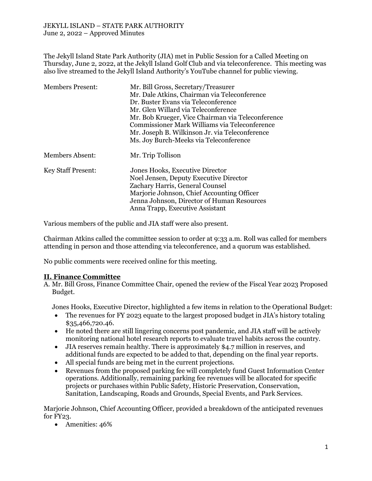#### JEKYLL ISLAND – STATE PARK AUTHORITY June 2, 2022 – Approved Minutes

The Jekyll Island State Park Authority (JIA) met in Public Session for a Called Meeting on Thursday, June 2, 2022, at the Jekyll Island Golf Club and via teleconference. This meeting was also live streamed to the Jekyll Island Authority's YouTube channel for public viewing.

| <b>Members Present:</b>   | Mr. Bill Gross, Secretary/Treasurer               |
|---------------------------|---------------------------------------------------|
|                           | Mr. Dale Atkins, Chairman via Teleconference      |
|                           | Dr. Buster Evans via Teleconference               |
|                           | Mr. Glen Willard via Teleconference               |
|                           | Mr. Bob Krueger, Vice Chairman via Teleconference |
|                           | Commissioner Mark Williams via Teleconference     |
|                           | Mr. Joseph B. Wilkinson Jr. via Teleconference    |
|                           | Ms. Joy Burch-Meeks via Teleconference            |
| <b>Members Absent:</b>    | Mr. Trip Tollison                                 |
| <b>Key Staff Present:</b> | Jones Hooks, Executive Director                   |
|                           | Noel Jensen, Deputy Executive Director            |
|                           | Zachary Harris, General Counsel                   |
|                           | Marjorie Johnson, Chief Accounting Officer        |
|                           | Jenna Johnson, Director of Human Resources        |
|                           | Anna Trapp, Executive Assistant                   |

Various members of the public and JIA staff were also present.

Chairman Atkins called the committee session to order at 9:33 a.m. Roll was called for members attending in person and those attending via teleconference, and a quorum was established.

No public comments were received online for this meeting.

### **II. Finance Committee**

A. Mr. Bill Gross, Finance Committee Chair, opened the review of the Fiscal Year 2023 Proposed Budget.

Jones Hooks, Executive Director, highlighted a few items in relation to the Operational Budget:

- The revenues for FY 2023 equate to the largest proposed budget in JIA's history totaling \$35,466,720.46.
- He noted there are still lingering concerns post pandemic, and JIA staff will be actively monitoring national hotel research reports to evaluate travel habits across the country.
- JIA reserves remain healthy. There is approximately \$4.7 million in reserves, and additional funds are expected to be added to that, depending on the final year reports.
- All special funds are being met in the current projections.
- Revenues from the proposed parking fee will completely fund Guest Information Center operations. Additionally, remaining parking fee revenues will be allocated for specific projects or purchases within Public Safety, Historic Preservation, Conservation, Sanitation, Landscaping, Roads and Grounds, Special Events, and Park Services.

Marjorie Johnson, Chief Accounting Officer, provided a breakdown of the anticipated revenues for FY23.

• Amenities: 46%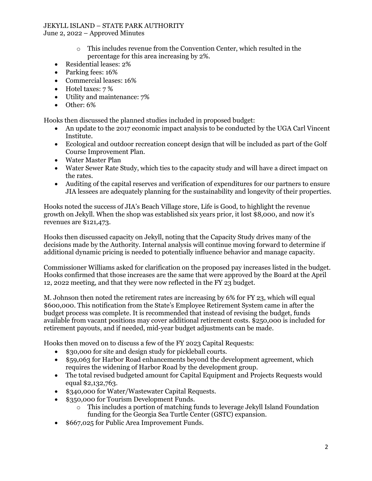# JEKYLL ISLAND – STATE PARK AUTHORITY

June 2, 2022 – Approved Minutes

- o This includes revenue from the Convention Center, which resulted in the percentage for this area increasing by 2%.
- Residential leases: 2%
- Parking fees: 16%
- Commercial leases: 16%
- Hotel taxes: 7 %
- Utility and maintenance: 7%
- Other: 6%

Hooks then discussed the planned studies included in proposed budget:

- An update to the 2017 economic impact analysis to be conducted by the UGA Carl Vincent Institute.
- Ecological and outdoor recreation concept design that will be included as part of the Golf Course Improvement Plan.
- Water Master Plan
- Water Sewer Rate Study, which ties to the capacity study and will have a direct impact on the rates.
- Auditing of the capital reserves and verification of expenditures for our partners to ensure JIA lessees are adequately planning for the sustainability and longevity of their properties.

Hooks noted the success of JIA's Beach Village store, Life is Good, to highlight the revenue growth on Jekyll. When the shop was established six years prior, it lost \$8,000, and now it's revenues are \$121,473.

Hooks then discussed capacity on Jekyll, noting that the Capacity Study drives many of the decisions made by the Authority. Internal analysis will continue moving forward to determine if additional dynamic pricing is needed to potentially influence behavior and manage capacity.

Commissioner Williams asked for clarification on the proposed pay increases listed in the budget. Hooks confirmed that those increases are the same that were approved by the Board at the April 12, 2022 meeting, and that they were now reflected in the FY 23 budget.

M. Johnson then noted the retirement rates are increasing by 6% for FY 23, which will equal \$600,000. This notification from the State's Employee Retirement System came in after the budget process was complete. It is recommended that instead of revising the budget, funds available from vacant positions may cover additional retirement costs. \$250,000 is included for retirement payouts, and if needed, mid-year budget adjustments can be made.

Hooks then moved on to discuss a few of the FY 2023 Capital Requests:

- \$30,000 for site and design study for pickleball courts.
- \$59,063 for Harbor Road enhancements beyond the development agreement, which requires the widening of Harbor Road by the development group.
- The total revised budgeted amount for Capital Equipment and Projects Requests would equal \$2,132,763.
- \$340,000 for Water/Wastewater Capital Requests.
- \$350,000 for Tourism Development Funds.
	- o This includes a portion of matching funds to leverage Jekyll Island Foundation funding for the Georgia Sea Turtle Center (GSTC) expansion.
- \$667,025 for Public Area Improvement Funds.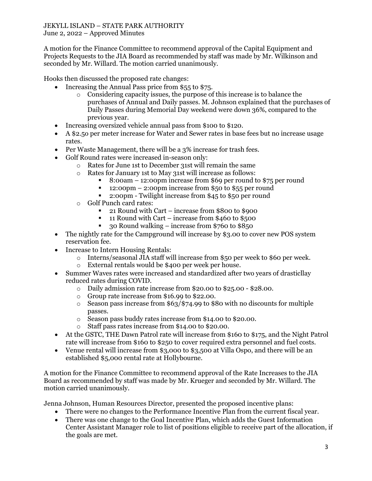#### JEKYLL ISLAND – STATE PARK AUTHORITY June 2, 2022 – Approved Minutes

A motion for the Finance Committee to recommend approval of the Capital Equipment and Projects Requests to the JIA Board as recommended by staff was made by Mr. Wilkinson and seconded by Mr. Willard. The motion carried unanimously.

Hooks then discussed the proposed rate changes:

- Increasing the Annual Pass price from \$55 to \$75.
	- o Considering capacity issues, the purpose of this increase is to balance the purchases of Annual and Daily passes. M. Johnson explained that the purchases of Daily Passes during Memorial Day weekend were down 36%, compared to the previous year.
- Increasing oversized vehicle annual pass from \$100 to \$120.
- A \$2.5o per meter increase for Water and Sewer rates in base fees but no increase usage rates.
- Per Waste Management, there will be a 3% increase for trash fees.
- Golf Round rates were increased in-season only:
	- o Rates for June 1st to December 31st will remain the same
	- o Rates for January 1st to May 31st will increase as follows:
		- 8:00am 12:00pm increase from \$69 per round to \$75 per round
		- 12:00pm 2:00pm increase from \$50 to \$55 per round
		- 2:00pm Twilight increase from \$45 to \$50 per round
	- o Golf Punch card rates:
		- 21 Round with Cart increase from \$800 to \$900
		- 11 Round with Cart increase from \$460 to \$500
		- 30 Round walking increase from \$760 to \$850
- The nightly rate for the Campground will increase by \$3.00 to cover new POS system reservation fee.
- Increase to Intern Housing Rentals:
	- o Interns/seasonal JIA staff will increase from \$50 per week to \$60 per week.
	- o External rentals would be \$400 per week per house.
- Summer Waves rates were increased and standardized after two years of drasticllay reduced rates during COVID.
	- o Daily admission rate increase from \$20.00 to \$25.00 \$28.00.
	- o Group rate increase from \$16.99 to \$22.00.
	- o Season pass increase from \$63/\$74.99 to \$80 with no discounts for multiple passes.
	- o Season pass buddy rates increase from \$14.00 to \$20.00.
	- o Staff pass rates increase from \$14.00 to \$20.00.
- At the GSTC, THE Dawn Patrol rate will increase from \$160 to \$175, and the Night Patrol rate will increase from \$160 to \$250 to cover required extra personnel and fuel costs.
- Venue rental will increase from \$3,000 to \$3,500 at Villa Ospo, and there will be an established \$5,000 rental rate at Hollybourne.

A motion for the Finance Committee to recommend approval of the Rate Increases to the JIA Board as recommended by staff was made by Mr. Krueger and seconded by Mr. Willard. The motion carried unanimously.

Jenna Johnson, Human Resources Director, presented the proposed incentive plans:

- There were no changes to the Performance Incentive Plan from the current fiscal year.
- There was one change to the Goal Incentive Plan, which adds the Guest Information Center Assistant Manager role to list of positions eligible to receive part of the allocation, if the goals are met.